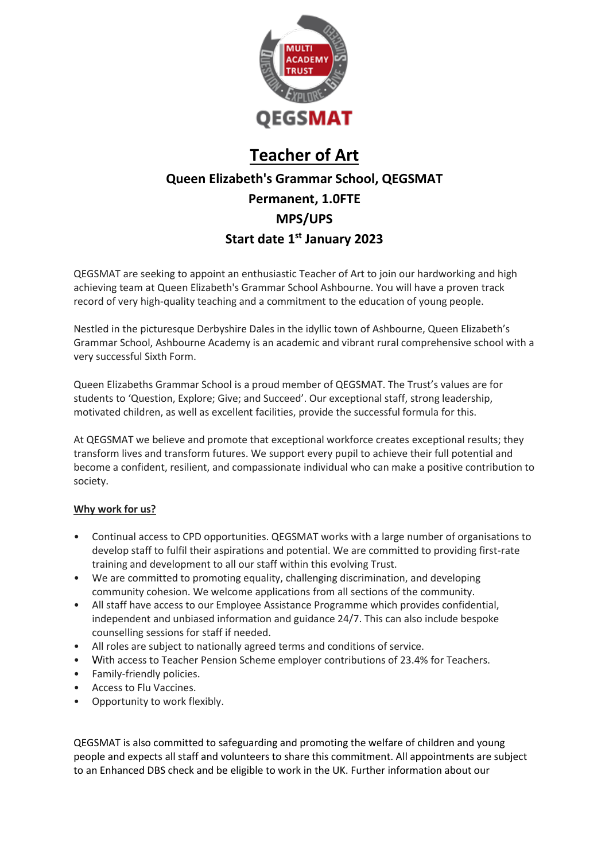

# **Teacher of Art Queen Elizabeth's Grammar School, QEGSMAT Permanent, 1.0FTE MPS/UPS Start date 1st January 2023**

QEGSMAT are seeking to appoint an enthusiastic Teacher of Art to join our hardworking and high achieving team at Queen Elizabeth's Grammar School Ashbourne. You will have a proven track record of very high-quality teaching and a commitment to the education of young people.

Nestled in the picturesque Derbyshire Dales in the idyllic town of Ashbourne, Queen Elizabeth's Grammar School, Ashbourne Academy is an academic and vibrant rural comprehensive school with a very successful Sixth Form.

Queen Elizabeths Grammar School is a proud member of QEGSMAT. The Trust's values are for students to 'Question, Explore; Give; and Succeed'. Our exceptional staff, strong leadership, motivated children, as well as excellent facilities, provide the successful formula for this.

At QEGSMAT we believe and promote that exceptional workforce creates exceptional results; they transform lives and transform futures. We support every pupil to achieve their full potential and become a confident, resilient, and compassionate individual who can make a positive contribution to society.

#### **Why work for us?**

- Continual access to CPD opportunities. QEGSMAT works with a large number of organisations to develop staff to fulfil their aspirations and potential. We are committed to providing first-rate training and development to all our staff within this evolving Trust.
- We are committed to promoting equality, challenging discrimination, and developing community cohesion. We welcome applications from all sections of the community.
- All staff have access to our Employee Assistance Programme which provides confidential, independent and unbiased information and guidance 24/7. This can also include bespoke counselling sessions for staff if needed.
- All roles are subject to nationally agreed terms and conditions of service.
- With access to Teacher Pension Scheme employer contributions of 23.4% for Teachers.
- Family-friendly policies.
- Access to Flu Vaccines.
- Opportunity to work flexibly.

QEGSMAT is also committed to safeguarding and promoting the welfare of children and young people and expects all staff and volunteers to share this commitment. All appointments are subject to an Enhanced DBS check and be eligible to work in the UK. Further information about our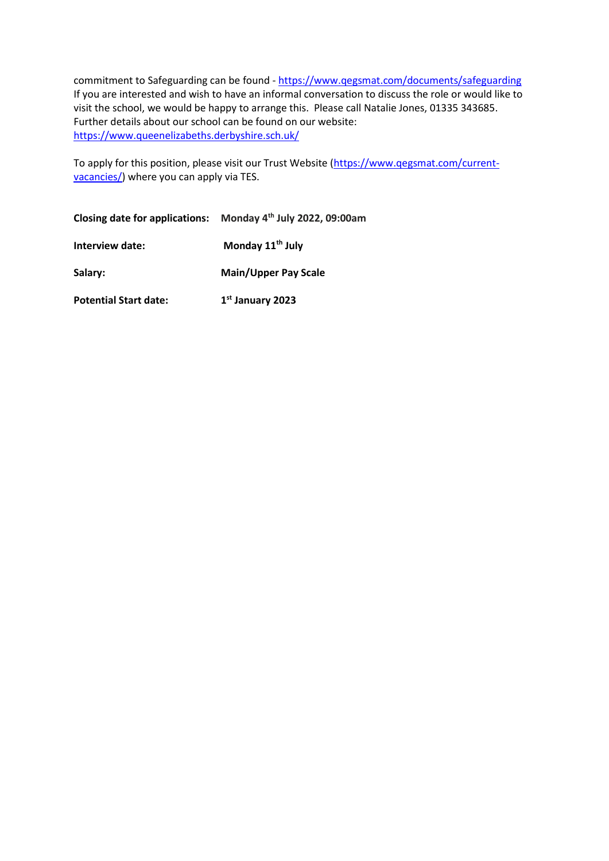commitment to Safeguarding can be found - <https://www.qegsmat.com/documents/safeguarding> If you are interested and wish to have an informal conversation to discuss the role or would like to visit the school, we would be happy to arrange this. Please call Natalie Jones, 01335 343685. Further details about our school can be found on our website: <https://www.queenelizabeths.derbyshire.sch.uk/>

To apply for this position, please visit our Trust Website [\(https://www.qegsmat.com/current](https://www.qegsmat.com/current-vacancies/)[vacancies/\)](https://www.qegsmat.com/current-vacancies/) where you can apply via TES.

| <b>Closing date for applications:</b> | Monday 4 <sup>th</sup> July 2022, 09:00am |
|---------------------------------------|-------------------------------------------|
| Interview date:                       | Monday 11 <sup>th</sup> July              |
| Salary:                               | <b>Main/Upper Pay Scale</b>               |
| <b>Potential Start date:</b>          | 1 <sup>st</sup> January 2023              |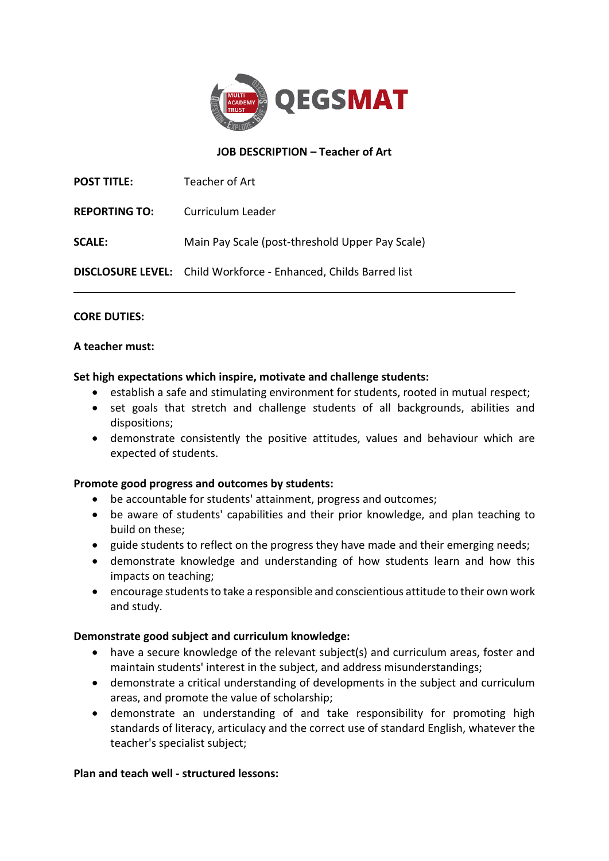

## **JOB DESCRIPTION – Teacher of Art**

| <b>POST TITLE:</b>   | Teacher of Art                                                          |
|----------------------|-------------------------------------------------------------------------|
| <b>REPORTING TO:</b> | Curriculum Leader                                                       |
| <b>SCALE:</b>        | Main Pay Scale (post-threshold Upper Pay Scale)                         |
|                      | <b>DISCLOSURE LEVEL:</b> Child Workforce - Enhanced, Childs Barred list |

#### **CORE DUTIES:**

#### **A teacher must:**

#### **Set high expectations which inspire, motivate and challenge students:**

- establish a safe and stimulating environment for students, rooted in mutual respect;
- set goals that stretch and challenge students of all backgrounds, abilities and dispositions;
- demonstrate consistently the positive attitudes, values and behaviour which are expected of students.

#### **Promote good progress and outcomes by students:**

- be accountable for students' attainment, progress and outcomes;
- be aware of students' capabilities and their prior knowledge, and plan teaching to build on these;
- guide students to reflect on the progress they have made and their emerging needs;
- demonstrate knowledge and understanding of how students learn and how this impacts on teaching;
- encourage students to take a responsible and conscientious attitude to their own work and study.

#### **Demonstrate good subject and curriculum knowledge:**

- have a secure knowledge of the relevant subject(s) and curriculum areas, foster and maintain students' interest in the subject, and address misunderstandings;
- demonstrate a critical understanding of developments in the subject and curriculum areas, and promote the value of scholarship;
- demonstrate an understanding of and take responsibility for promoting high standards of literacy, articulacy and the correct use of standard English, whatever the teacher's specialist subject;

#### **Plan and teach well - structured lessons:**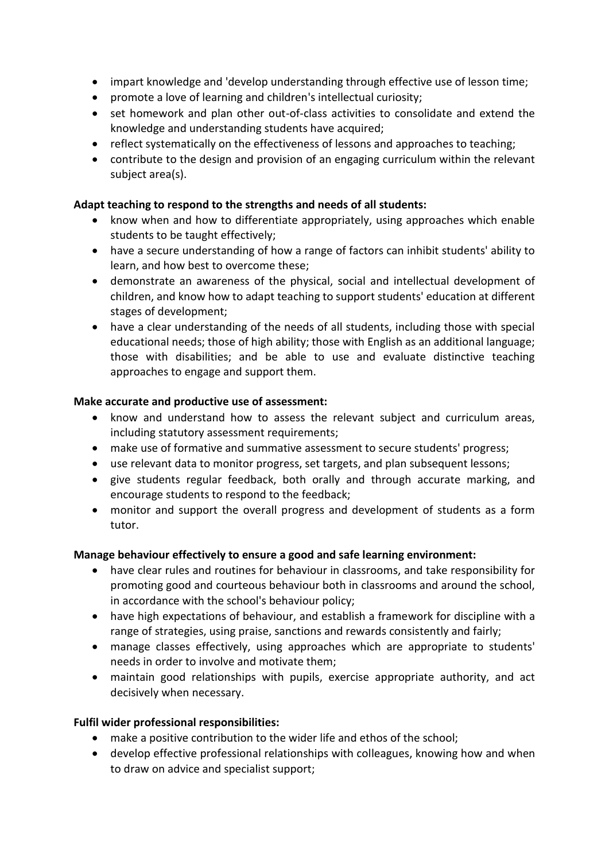- impart knowledge and 'develop understanding through effective use of lesson time;
- promote a love of learning and children's intellectual curiosity;
- set homework and plan other out-of-class activities to consolidate and extend the knowledge and understanding students have acquired;
- reflect systematically on the effectiveness of lessons and approaches to teaching;
- contribute to the design and provision of an engaging curriculum within the relevant subject area(s).

# **Adapt teaching to respond to the strengths and needs of all students:**

- know when and how to differentiate appropriately, using approaches which enable students to be taught effectively;
- have a secure understanding of how a range of factors can inhibit students' ability to learn, and how best to overcome these;
- demonstrate an awareness of the physical, social and intellectual development of children, and know how to adapt teaching to support students' education at different stages of development;
- have a clear understanding of the needs of all students, including those with special educational needs; those of high ability; those with English as an additional language; those with disabilities; and be able to use and evaluate distinctive teaching approaches to engage and support them.

## **Make accurate and productive use of assessment:**

- know and understand how to assess the relevant subject and curriculum areas, including statutory assessment requirements;
- make use of formative and summative assessment to secure students' progress;
- use relevant data to monitor progress, set targets, and plan subsequent lessons;
- give students regular feedback, both orally and through accurate marking, and encourage students to respond to the feedback;
- monitor and support the overall progress and development of students as a form tutor.

# **Manage behaviour effectively to ensure a good and safe learning environment:**

- have clear rules and routines for behaviour in classrooms, and take responsibility for promoting good and courteous behaviour both in classrooms and around the school, in accordance with the school's behaviour policy;
- have high expectations of behaviour, and establish a framework for discipline with a range of strategies, using praise, sanctions and rewards consistently and fairly;
- manage classes effectively, using approaches which are appropriate to students' needs in order to involve and motivate them;
- maintain good relationships with pupils, exercise appropriate authority, and act decisively when necessary.

# **Fulfil wider professional responsibilities:**

- make a positive contribution to the wider life and ethos of the school;
- develop effective professional relationships with colleagues, knowing how and when to draw on advice and specialist support;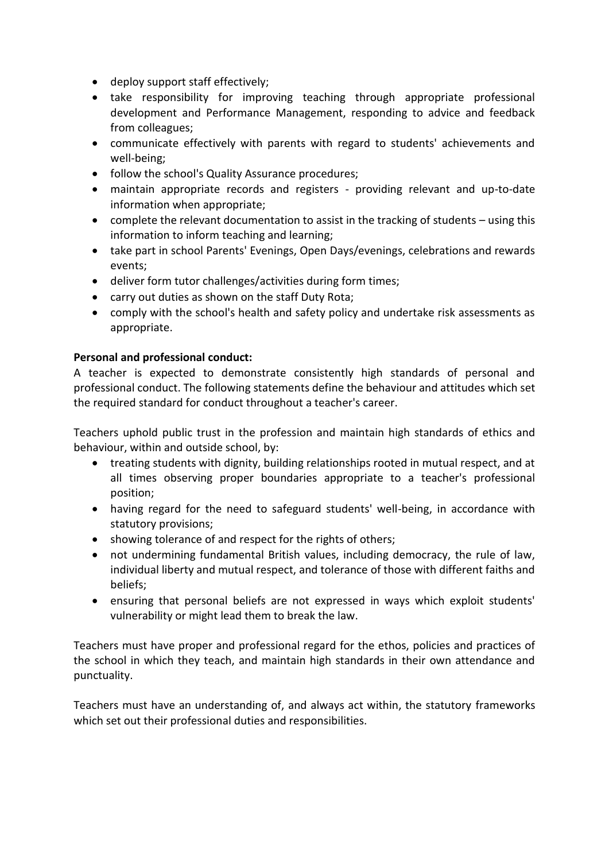- deploy support staff effectively;
- take responsibility for improving teaching through appropriate professional development and Performance Management, responding to advice and feedback from colleagues;
- communicate effectively with parents with regard to students' achievements and well-being;
- follow the school's Quality Assurance procedures;
- maintain appropriate records and registers providing relevant and up-to-date information when appropriate;
- complete the relevant documentation to assist in the tracking of students using this information to inform teaching and learning;
- take part in school Parents' Evenings, Open Days/evenings, celebrations and rewards events;
- deliver form tutor challenges/activities during form times;
- carry out duties as shown on the staff Duty Rota;
- comply with the school's health and safety policy and undertake risk assessments as appropriate.

# **Personal and professional conduct:**

A teacher is expected to demonstrate consistently high standards of personal and professional conduct. The following statements define the behaviour and attitudes which set the required standard for conduct throughout a teacher's career.

Teachers uphold public trust in the profession and maintain high standards of ethics and behaviour, within and outside school, by:

- treating students with dignity, building relationships rooted in mutual respect, and at all times observing proper boundaries appropriate to a teacher's professional position;
- having regard for the need to safeguard students' well-being, in accordance with statutory provisions;
- showing tolerance of and respect for the rights of others;
- not undermining fundamental British values, including democracy, the rule of law, individual liberty and mutual respect, and tolerance of those with different faiths and beliefs;
- ensuring that personal beliefs are not expressed in ways which exploit students' vulnerability or might lead them to break the law.

Teachers must have proper and professional regard for the ethos, policies and practices of the school in which they teach, and maintain high standards in their own attendance and punctuality.

Teachers must have an understanding of, and always act within, the statutory frameworks which set out their professional duties and responsibilities.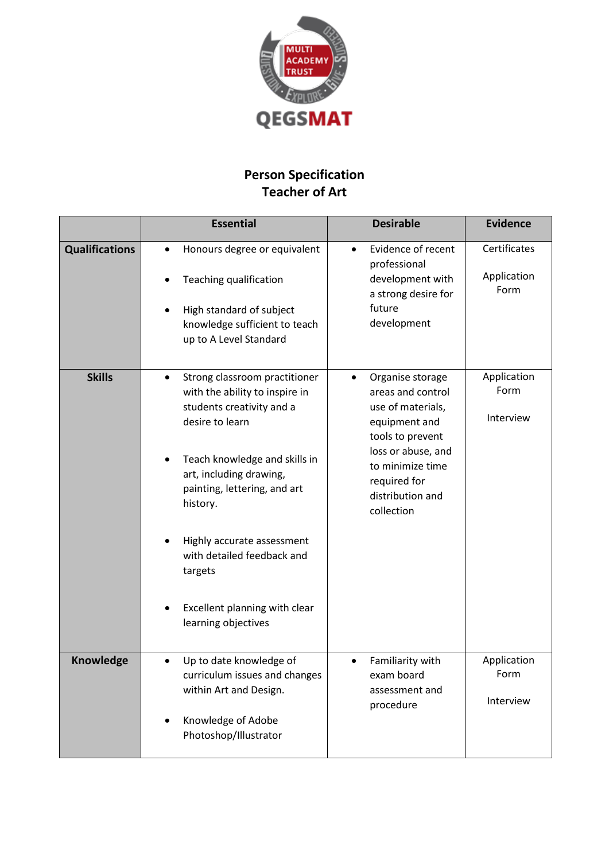

# **Person Specification Teacher of Art**

|                       | <b>Essential</b>                                                                                                                                                                                                                                                                                                                                                    | <b>Desirable</b>                                                                                                                                                                                         | <b>Evidence</b>                     |
|-----------------------|---------------------------------------------------------------------------------------------------------------------------------------------------------------------------------------------------------------------------------------------------------------------------------------------------------------------------------------------------------------------|----------------------------------------------------------------------------------------------------------------------------------------------------------------------------------------------------------|-------------------------------------|
| <b>Qualifications</b> | Honours degree or equivalent<br>$\bullet$<br>Teaching qualification<br>High standard of subject<br>knowledge sufficient to teach<br>up to A Level Standard                                                                                                                                                                                                          | Evidence of recent<br>professional<br>development with<br>a strong desire for<br>future<br>development                                                                                                   | Certificates<br>Application<br>Form |
| <b>Skills</b>         | Strong classroom practitioner<br>$\bullet$<br>with the ability to inspire in<br>students creativity and a<br>desire to learn<br>Teach knowledge and skills in<br>art, including drawing,<br>painting, lettering, and art<br>history.<br>Highly accurate assessment<br>with detailed feedback and<br>targets<br>Excellent planning with clear<br>learning objectives | Organise storage<br>$\bullet$<br>areas and control<br>use of materials,<br>equipment and<br>tools to prevent<br>loss or abuse, and<br>to minimize time<br>required for<br>distribution and<br>collection | Application<br>Form<br>Interview    |
| Knowledge             | Up to date knowledge of<br>$\bullet$<br>curriculum issues and changes<br>within Art and Design.<br>Knowledge of Adobe<br>$\bullet$<br>Photoshop/Illustrator                                                                                                                                                                                                         | Familiarity with<br>exam board<br>assessment and<br>procedure                                                                                                                                            | Application<br>Form<br>Interview    |